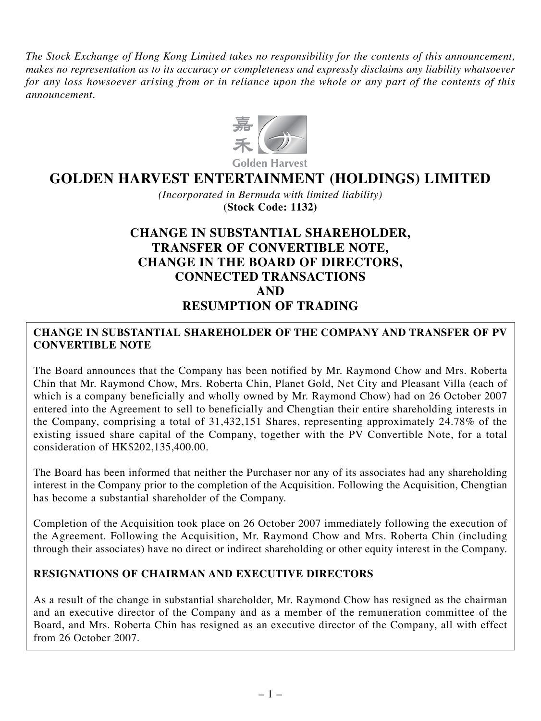*The Stock Exchange of Hong Kong Limited takes no responsibility for the contents of this announcement, makes no representation as to its accuracy or completeness and expressly disclaims any liability whatsoever for any loss howsoever arising from or in reliance upon the whole or any part of the contents of this announcement.*



# **GOLDEN HARVEST ENTERTAINMENT (HOLDINGS) LIMITED**

*(Incorporated in Bermuda with limited liability)* **(Stock Code: 1132)**

## **CHANGE IN SUBSTANTIAL SHAREHOLDER, TRANSFER OF CONVERTIBLE NOTE, CHANGE IN THE BOARD OF DIRECTORS, CONNECTED TRANSACTIONS AND RESUMPTION OF TRADING**

### **CHANGE IN SUBSTANTIAL SHAREHOLDER OF THE COMPANY AND TRANSFER OF PV CONVERTIBLE NOTE**

The Board announces that the Company has been notified by Mr. Raymond Chow and Mrs. Roberta Chin that Mr. Raymond Chow, Mrs. Roberta Chin, Planet Gold, Net City and Pleasant Villa (each of which is a company beneficially and wholly owned by Mr. Raymond Chow) had on 26 October 2007 entered into the Agreement to sell to beneficially and Chengtian their entire shareholding interests in the Company, comprising a total of 31,432,151 Shares, representing approximately 24.78% of the existing issued share capital of the Company, together with the PV Convertible Note, for a total consideration of HK\$202,135,400.00.

The Board has been informed that neither the Purchaser nor any of its associates had any shareholding interest in the Company prior to the completion of the Acquisition. Following the Acquisition, Chengtian has become a substantial shareholder of the Company.

Completion of the Acquisition took place on 26 October 2007 immediately following the execution of the Agreement. Following the Acquisition, Mr. Raymond Chow and Mrs. Roberta Chin (including through their associates) have no direct or indirect shareholding or other equity interest in the Company.

#### **RESIGNATIONS OF CHAIRMAN AND EXECUTIVE DIRECTORS**

As a result of the change in substantial shareholder, Mr. Raymond Chow has resigned as the chairman and an executive director of the Company and as a member of the remuneration committee of the Board, and Mrs. Roberta Chin has resigned as an executive director of the Company, all with effect from 26 October 2007.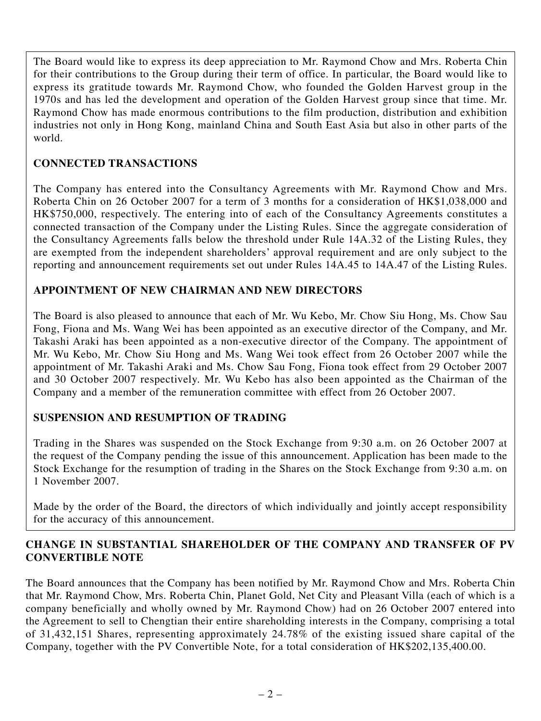The Board would like to express its deep appreciation to Mr. Raymond Chow and Mrs. Roberta Chin for their contributions to the Group during their term of office. In particular, the Board would like to express its gratitude towards Mr. Raymond Chow, who founded the Golden Harvest group in the 1970s and has led the development and operation of the Golden Harvest group since that time. Mr. Raymond Chow has made enormous contributions to the film production, distribution and exhibition industries not only in Hong Kong, mainland China and South East Asia but also in other parts of the world.

## **CONNECTED TRANSACTIONS**

The Company has entered into the Consultancy Agreements with Mr. Raymond Chow and Mrs. Roberta Chin on 26 October 2007 for a term of 3 months for a consideration of HK\$1,038,000 and HK\$750,000, respectively. The entering into of each of the Consultancy Agreements constitutes a connected transaction of the Company under the Listing Rules. Since the aggregate consideration of the Consultancy Agreements falls below the threshold under Rule 14A.32 of the Listing Rules, they are exempted from the independent shareholders' approval requirement and are only subject to the reporting and announcement requirements set out under Rules 14A.45 to 14A.47 of the Listing Rules.

#### **APPOINTMENT OF NEW CHAIRMAN AND NEW DIRECTORS**

The Board is also pleased to announce that each of Mr. Wu Kebo, Mr. Chow Siu Hong, Ms. Chow Sau Fong, Fiona and Ms. Wang Wei has been appointed as an executive director of the Company, and Mr. Takashi Araki has been appointed as a non-executive director of the Company. The appointment of Mr. Wu Kebo, Mr. Chow Siu Hong and Ms. Wang Wei took effect from 26 October 2007 while the appointment of Mr. Takashi Araki and Ms. Chow Sau Fong, Fiona took effect from 29 October 2007 and 30 October 2007 respectively. Mr. Wu Kebo has also been appointed as the Chairman of the Company and a member of the remuneration committee with effect from 26 October 2007.

## **SUSPENSION AND RESUMPTION OF TRADING**

Trading in the Shares was suspended on the Stock Exchange from 9:30 a.m. on 26 October 2007 at the request of the Company pending the issue of this announcement. Application has been made to the Stock Exchange for the resumption of trading in the Shares on the Stock Exchange from 9:30 a.m. on 1 November 2007.

Made by the order of the Board, the directors of which individually and jointly accept responsibility for the accuracy of this announcement.

## **CHANGE IN SUBSTANTIAL SHAREHOLDER OF THE COMPANY AND TRANSFER OF PV CONVERTIBLE NOTE**

The Board announces that the Company has been notified by Mr. Raymond Chow and Mrs. Roberta Chin that Mr. Raymond Chow, Mrs. Roberta Chin, Planet Gold, Net City and Pleasant Villa (each of which is a company beneficially and wholly owned by Mr. Raymond Chow) had on 26 October 2007 entered into the Agreement to sell to Chengtian their entire shareholding interests in the Company, comprising a total of 31,432,151 Shares, representing approximately 24.78% of the existing issued share capital of the Company, together with the PV Convertible Note, for a total consideration of HK\$202,135,400.00.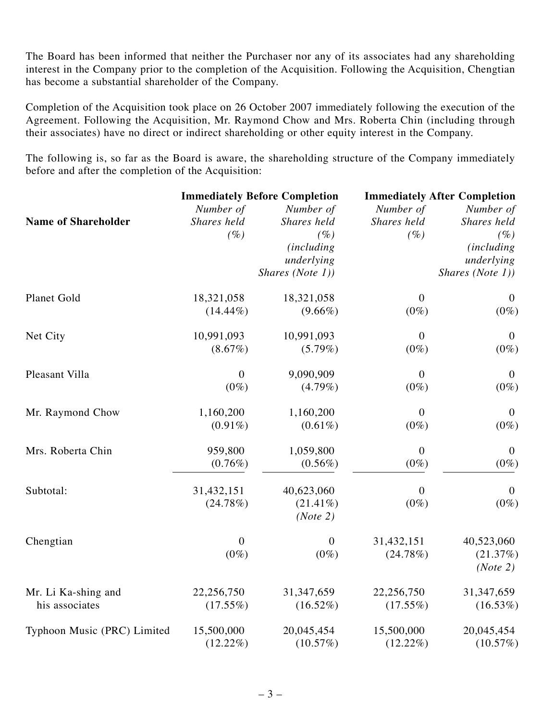The Board has been informed that neither the Purchaser nor any of its associates had any shareholding interest in the Company prior to the completion of the Acquisition. Following the Acquisition, Chengtian has become a substantial shareholder of the Company.

Completion of the Acquisition took place on 26 October 2007 immediately following the execution of the Agreement. Following the Acquisition, Mr. Raymond Chow and Mrs. Roberta Chin (including through their associates) have no direct or indirect shareholding or other equity interest in the Company.

The following is, so far as the Board is aware, the shareholding structure of the Company immediately before and after the completion of the Acquisition:

|                             | <b>Immediately Before Completion</b> |                    | <b>Immediately After Completion</b> |                   |
|-----------------------------|--------------------------------------|--------------------|-------------------------------------|-------------------|
|                             | Number of                            | Number of          | Number of                           | Number of         |
| <b>Name of Shareholder</b>  | Shares held                          | Shares held        | Shares held                         | Shares held       |
|                             | (%)                                  | (%                 | (%)                                 | $(\%)$            |
|                             |                                      | <i>(including)</i> |                                     | <i>(including</i> |
|                             |                                      | underlying         |                                     | underlying        |
|                             |                                      | Shares (Note 1))   |                                     | Shares (Note 1))  |
| Planet Gold                 | 18,321,058                           | 18,321,058         | $\boldsymbol{0}$                    | $\boldsymbol{0}$  |
|                             | $(14.44\%)$                          | $(9.66\%)$         | $(0\%)$                             | $(0\%)$           |
| Net City                    | 10,991,093                           | 10,991,093         | $\boldsymbol{0}$                    | $\boldsymbol{0}$  |
|                             | $(8.67\%)$                           | $(5.79\%)$         | $(0\%)$                             | $(0\%)$           |
| Pleasant Villa              | $\mathbf{0}$                         | 9,090,909          | $\theta$                            | $\boldsymbol{0}$  |
|                             | $(0\%)$                              | $(4.79\%)$         | $(0\%)$                             | $(0\%)$           |
| Mr. Raymond Chow            | 1,160,200                            | 1,160,200          | $\boldsymbol{0}$                    | $\mathbf{0}$      |
|                             | $(0.91\%)$                           | $(0.61\%)$         | $(0\%)$                             | $(0\%)$           |
| Mrs. Roberta Chin           | 959,800                              | 1,059,800          | $\boldsymbol{0}$                    | $\boldsymbol{0}$  |
|                             | $(0.76\%)$                           | $(0.56\%)$         | $(0\%)$                             | $(0\%)$           |
| Subtotal:                   | 31,432,151                           | 40,623,060         | $\mathbf{0}$                        | $\mathbf{0}$      |
|                             | (24.78%)                             | $(21.41\%)$        | $(0\%)$                             | $(0\%)$           |
|                             |                                      | (Note 2)           |                                     |                   |
| Chengtian                   | $\overline{0}$                       | $\boldsymbol{0}$   | 31,432,151                          | 40,523,060        |
|                             | $(0\%)$                              | $(0\%)$            | (24.78%)                            | (21.37%)          |
|                             |                                      |                    |                                     | (Note 2)          |
| Mr. Li Ka-shing and         | 22,256,750                           | 31, 347, 659       | 22,256,750                          | 31, 347, 659      |
| his associates              | $(17.55\%)$                          | $(16.52\%)$        | $(17.55\%)$                         | $(16.53\%)$       |
| Typhoon Music (PRC) Limited | 15,500,000                           | 20,045,454         | 15,500,000                          | 20,045,454        |
|                             | $(12.22\%)$                          | (10.57%)           | $(12.22\%)$                         | (10.57%)          |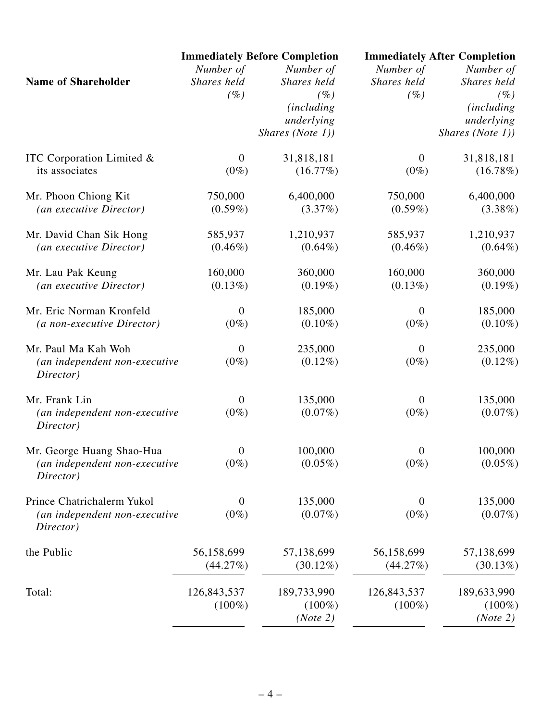| <b>Immediately Before Completion</b> |                                                                                                                                                                                                                   | <b>Immediately After Completion</b>                                                                           |                                                                                     |
|--------------------------------------|-------------------------------------------------------------------------------------------------------------------------------------------------------------------------------------------------------------------|---------------------------------------------------------------------------------------------------------------|-------------------------------------------------------------------------------------|
|                                      | Number of                                                                                                                                                                                                         |                                                                                                               | Number of                                                                           |
| Shares held                          | Shares held                                                                                                                                                                                                       | Shares held                                                                                                   | Shares held                                                                         |
|                                      |                                                                                                                                                                                                                   |                                                                                                               | $(\%)$                                                                              |
|                                      |                                                                                                                                                                                                                   |                                                                                                               | <i>(including)</i>                                                                  |
|                                      |                                                                                                                                                                                                                   |                                                                                                               | underlying                                                                          |
|                                      |                                                                                                                                                                                                                   |                                                                                                               | Shares (Note 1))                                                                    |
|                                      |                                                                                                                                                                                                                   |                                                                                                               | 31,818,181                                                                          |
| $(0\%)$                              | (16.77%)                                                                                                                                                                                                          | $(0\%)$                                                                                                       | (16.78%)                                                                            |
| 750,000                              | 6,400,000                                                                                                                                                                                                         | 750,000                                                                                                       | 6,400,000                                                                           |
| $(0.59\%)$                           | (3.37%)                                                                                                                                                                                                           | $(0.59\%)$                                                                                                    | $(3.38\%)$                                                                          |
| 585,937                              | 1,210,937                                                                                                                                                                                                         | 585,937                                                                                                       | 1,210,937                                                                           |
| $(0.46\%)$                           | $(0.64\%)$                                                                                                                                                                                                        | $(0.46\%)$                                                                                                    | $(0.64\%)$                                                                          |
| 160,000                              | 360,000                                                                                                                                                                                                           | 160,000                                                                                                       | 360,000                                                                             |
| $(0.13\%)$                           | $(0.19\%)$                                                                                                                                                                                                        | $(0.13\%)$                                                                                                    | $(0.19\%)$                                                                          |
| $\boldsymbol{0}$                     | 185,000                                                                                                                                                                                                           | $\overline{0}$                                                                                                | 185,000                                                                             |
| $(0\%)$                              | $(0.10\%)$                                                                                                                                                                                                        | $(0\%)$                                                                                                       | $(0.10\%)$                                                                          |
| $\boldsymbol{0}$                     |                                                                                                                                                                                                                   | $\theta$                                                                                                      | 235,000                                                                             |
| $(0\%)$                              | $(0.12\%)$                                                                                                                                                                                                        | $(0\%)$                                                                                                       | $(0.12\%)$                                                                          |
|                                      |                                                                                                                                                                                                                   |                                                                                                               | 135,000                                                                             |
| $(0\%)$                              | $(0.07\%)$                                                                                                                                                                                                        | $(0\%)$                                                                                                       | $(0.07\%)$                                                                          |
|                                      |                                                                                                                                                                                                                   |                                                                                                               | 100,000                                                                             |
| $(0\%)$                              | $(0.05\%)$                                                                                                                                                                                                        | $(0\%)$                                                                                                       | $(0.05\%)$                                                                          |
| $\overline{0}$                       | 135,000                                                                                                                                                                                                           | $\overline{0}$                                                                                                | 135,000                                                                             |
| $(0\%)$                              | $(0.07\%)$                                                                                                                                                                                                        | $(0\%)$                                                                                                       | $(0.07\%)$                                                                          |
| 56,158,699                           | 57,138,699                                                                                                                                                                                                        | 56,158,699                                                                                                    | 57,138,699                                                                          |
| (44.27%)                             | $(30.12\%)$                                                                                                                                                                                                       | (44.27%)                                                                                                      | $(30.13\%)$                                                                         |
| 126,843,537<br>$(100\%)$             | 189,733,990<br>$(100\%)$                                                                                                                                                                                          | 126,843,537<br>$(100\%)$                                                                                      | 189,633,990<br>$(100\%)$<br>(Note 2)                                                |
|                                      | Number of<br>$(\%)$<br>$\boldsymbol{0}$<br>(an independent non-executive<br>$\overline{0}$<br>(an independent non-executive<br>$\boldsymbol{0}$<br>(an independent non-executive<br>(an independent non-executive | $(\%)$<br><i>(including)</i><br>underlying<br>Shares (Note 1))<br>31,818,181<br>235,000<br>135,000<br>100,000 | Number of<br>$(\%)$<br>$\boldsymbol{0}$<br>$\theta$<br>$\boldsymbol{0}$<br>(Note 2) |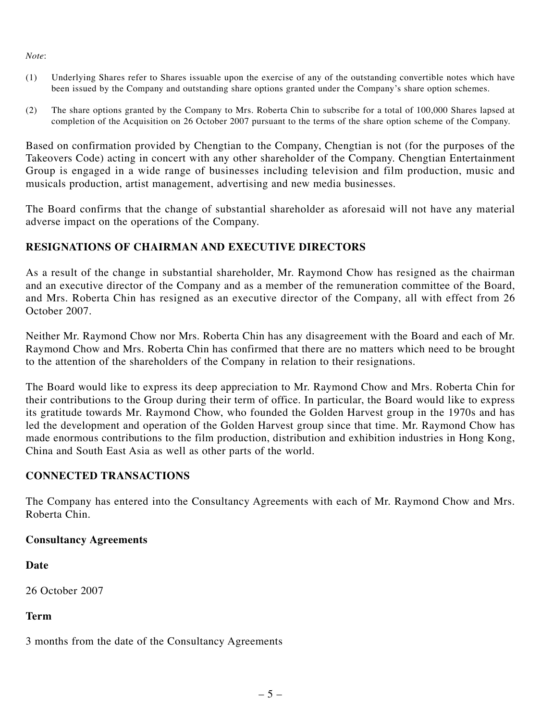#### *Note*:

- (1) Underlying Shares refer to Shares issuable upon the exercise of any of the outstanding convertible notes which have been issued by the Company and outstanding share options granted under the Company's share option schemes.
- (2) The share options granted by the Company to Mrs. Roberta Chin to subscribe for a total of 100,000 Shares lapsed at completion of the Acquisition on 26 October 2007 pursuant to the terms of the share option scheme of the Company.

Based on confirmation provided by Chengtian to the Company, Chengtian is not (for the purposes of the Takeovers Code) acting in concert with any other shareholder of the Company. Chengtian Entertainment Group is engaged in a wide range of businesses including television and film production, music and musicals production, artist management, advertising and new media businesses.

The Board confirms that the change of substantial shareholder as aforesaid will not have any material adverse impact on the operations of the Company.

## **RESIGNATIONS OF CHAIRMAN AND EXECUTIVE DIRECTORS**

As a result of the change in substantial shareholder, Mr. Raymond Chow has resigned as the chairman and an executive director of the Company and as a member of the remuneration committee of the Board, and Mrs. Roberta Chin has resigned as an executive director of the Company, all with effect from 26 October 2007.

Neither Mr. Raymond Chow nor Mrs. Roberta Chin has any disagreement with the Board and each of Mr. Raymond Chow and Mrs. Roberta Chin has confirmed that there are no matters which need to be brought to the attention of the shareholders of the Company in relation to their resignations.

The Board would like to express its deep appreciation to Mr. Raymond Chow and Mrs. Roberta Chin for their contributions to the Group during their term of office. In particular, the Board would like to express its gratitude towards Mr. Raymond Chow, who founded the Golden Harvest group in the 1970s and has led the development and operation of the Golden Harvest group since that time. Mr. Raymond Chow has made enormous contributions to the film production, distribution and exhibition industries in Hong Kong, China and South East Asia as well as other parts of the world.

## **CONNECTED TRANSACTIONS**

The Company has entered into the Consultancy Agreements with each of Mr. Raymond Chow and Mrs. Roberta Chin.

#### **Consultancy Agreements**

**Date**

26 October 2007

## **Term**

3 months from the date of the Consultancy Agreements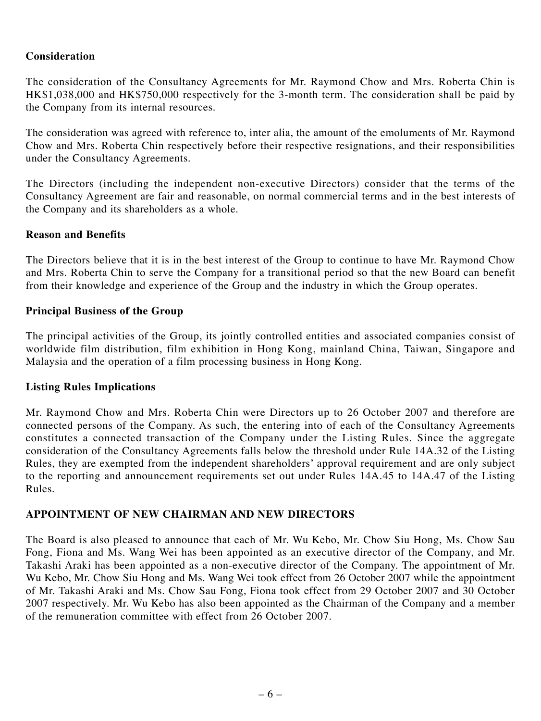#### **Consideration**

The consideration of the Consultancy Agreements for Mr. Raymond Chow and Mrs. Roberta Chin is HK\$1,038,000 and HK\$750,000 respectively for the 3-month term. The consideration shall be paid by the Company from its internal resources.

The consideration was agreed with reference to, inter alia, the amount of the emoluments of Mr. Raymond Chow and Mrs. Roberta Chin respectively before their respective resignations, and their responsibilities under the Consultancy Agreements.

The Directors (including the independent non-executive Directors) consider that the terms of the Consultancy Agreement are fair and reasonable, on normal commercial terms and in the best interests of the Company and its shareholders as a whole.

#### **Reason and Benefits**

The Directors believe that it is in the best interest of the Group to continue to have Mr. Raymond Chow and Mrs. Roberta Chin to serve the Company for a transitional period so that the new Board can benefit from their knowledge and experience of the Group and the industry in which the Group operates.

#### **Principal Business of the Group**

The principal activities of the Group, its jointly controlled entities and associated companies consist of worldwide film distribution, film exhibition in Hong Kong, mainland China, Taiwan, Singapore and Malaysia and the operation of a film processing business in Hong Kong.

#### **Listing Rules Implications**

Mr. Raymond Chow and Mrs. Roberta Chin were Directors up to 26 October 2007 and therefore are connected persons of the Company. As such, the entering into of each of the Consultancy Agreements constitutes a connected transaction of the Company under the Listing Rules. Since the aggregate consideration of the Consultancy Agreements falls below the threshold under Rule 14A.32 of the Listing Rules, they are exempted from the independent shareholders' approval requirement and are only subject to the reporting and announcement requirements set out under Rules 14A.45 to 14A.47 of the Listing Rules.

#### **APPOINTMENT OF NEW CHAIRMAN AND NEW DIRECTORS**

The Board is also pleased to announce that each of Mr. Wu Kebo, Mr. Chow Siu Hong, Ms. Chow Sau Fong, Fiona and Ms. Wang Wei has been appointed as an executive director of the Company, and Mr. Takashi Araki has been appointed as a non-executive director of the Company. The appointment of Mr. Wu Kebo, Mr. Chow Siu Hong and Ms. Wang Wei took effect from 26 October 2007 while the appointment of Mr. Takashi Araki and Ms. Chow Sau Fong, Fiona took effect from 29 October 2007 and 30 October 2007 respectively. Mr. Wu Kebo has also been appointed as the Chairman of the Company and a member of the remuneration committee with effect from 26 October 2007.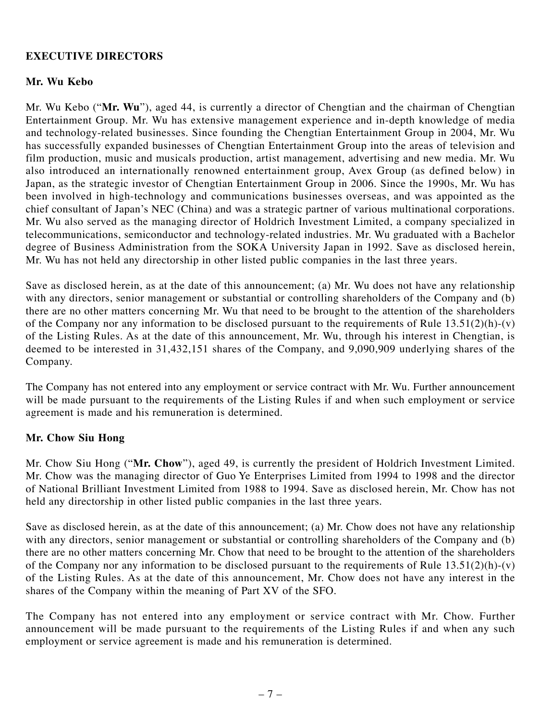#### **EXECUTIVE DIRECTORS**

#### **Mr. Wu Kebo**

Mr. Wu Kebo ("**Mr. Wu**"), aged 44, is currently a director of Chengtian and the chairman of Chengtian Entertainment Group. Mr. Wu has extensive management experience and in-depth knowledge of media and technology-related businesses. Since founding the Chengtian Entertainment Group in 2004, Mr. Wu has successfully expanded businesses of Chengtian Entertainment Group into the areas of television and film production, music and musicals production, artist management, advertising and new media. Mr. Wu also introduced an internationally renowned entertainment group, Avex Group (as defined below) in Japan, as the strategic investor of Chengtian Entertainment Group in 2006. Since the 1990s, Mr. Wu has been involved in high-technology and communications businesses overseas, and was appointed as the chief consultant of Japan's NEC (China) and was a strategic partner of various multinational corporations. Mr. Wu also served as the managing director of Holdrich Investment Limited, a company specialized in telecommunications, semiconductor and technology-related industries. Mr. Wu graduated with a Bachelor degree of Business Administration from the SOKA University Japan in 1992. Save as disclosed herein, Mr. Wu has not held any directorship in other listed public companies in the last three years.

Save as disclosed herein, as at the date of this announcement; (a) Mr. Wu does not have any relationship with any directors, senior management or substantial or controlling shareholders of the Company and (b) there are no other matters concerning Mr. Wu that need to be brought to the attention of the shareholders of the Company nor any information to be disclosed pursuant to the requirements of Rule  $13.51(2)(h)-(v)$ of the Listing Rules. As at the date of this announcement, Mr. Wu, through his interest in Chengtian, is deemed to be interested in 31,432,151 shares of the Company, and 9,090,909 underlying shares of the Company.

The Company has not entered into any employment or service contract with Mr. Wu. Further announcement will be made pursuant to the requirements of the Listing Rules if and when such employment or service agreement is made and his remuneration is determined.

#### **Mr. Chow Siu Hong**

Mr. Chow Siu Hong ("**Mr. Chow**"), aged 49, is currently the president of Holdrich Investment Limited. Mr. Chow was the managing director of Guo Ye Enterprises Limited from 1994 to 1998 and the director of National Brilliant Investment Limited from 1988 to 1994. Save as disclosed herein, Mr. Chow has not held any directorship in other listed public companies in the last three years.

Save as disclosed herein, as at the date of this announcement; (a) Mr. Chow does not have any relationship with any directors, senior management or substantial or controlling shareholders of the Company and (b) there are no other matters concerning Mr. Chow that need to be brought to the attention of the shareholders of the Company nor any information to be disclosed pursuant to the requirements of Rule  $13.51(2)(h)-(v)$ of the Listing Rules. As at the date of this announcement, Mr. Chow does not have any interest in the shares of the Company within the meaning of Part XV of the SFO.

The Company has not entered into any employment or service contract with Mr. Chow. Further announcement will be made pursuant to the requirements of the Listing Rules if and when any such employment or service agreement is made and his remuneration is determined.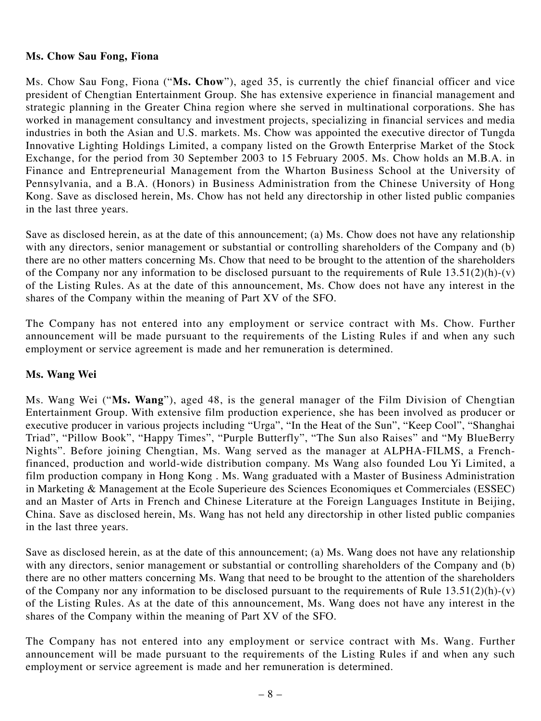#### **Ms. Chow Sau Fong, Fiona**

Ms. Chow Sau Fong, Fiona ("**Ms. Chow**"), aged 35, is currently the chief financial officer and vice president of Chengtian Entertainment Group. She has extensive experience in financial management and strategic planning in the Greater China region where she served in multinational corporations. She has worked in management consultancy and investment projects, specializing in financial services and media industries in both the Asian and U.S. markets. Ms. Chow was appointed the executive director of Tungda Innovative Lighting Holdings Limited, a company listed on the Growth Enterprise Market of the Stock Exchange, for the period from 30 September 2003 to 15 February 2005. Ms. Chow holds an M.B.A. in Finance and Entrepreneurial Management from the Wharton Business School at the University of Pennsylvania, and a B.A. (Honors) in Business Administration from the Chinese University of Hong Kong. Save as disclosed herein, Ms. Chow has not held any directorship in other listed public companies in the last three years.

Save as disclosed herein, as at the date of this announcement; (a) Ms. Chow does not have any relationship with any directors, senior management or substantial or controlling shareholders of the Company and (b) there are no other matters concerning Ms. Chow that need to be brought to the attention of the shareholders of the Company nor any information to be disclosed pursuant to the requirements of Rule  $13.51(2)(h)-(v)$ of the Listing Rules. As at the date of this announcement, Ms. Chow does not have any interest in the shares of the Company within the meaning of Part XV of the SFO.

The Company has not entered into any employment or service contract with Ms. Chow. Further announcement will be made pursuant to the requirements of the Listing Rules if and when any such employment or service agreement is made and her remuneration is determined.

#### **Ms. Wang Wei**

Ms. Wang Wei ("**Ms. Wang**"), aged 48, is the general manager of the Film Division of Chengtian Entertainment Group. With extensive film production experience, she has been involved as producer or executive producer in various projects including "Urga", "In the Heat of the Sun", "Keep Cool", "Shanghai Triad", "Pillow Book", "Happy Times", "Purple Butterfly", "The Sun also Raises" and "My BlueBerry Nights". Before joining Chengtian, Ms. Wang served as the manager at ALPHA-FILMS, a Frenchfinanced, production and world-wide distribution company. Ms Wang also founded Lou Yi Limited, a film production company in Hong Kong . Ms. Wang graduated with a Master of Business Administration in Marketing & Management at the Ecole Superieure des Sciences Economiques et Commerciales (ESSEC) and an Master of Arts in French and Chinese Literature at the Foreign Languages Institute in Beijing, China. Save as disclosed herein, Ms. Wang has not held any directorship in other listed public companies in the last three years.

Save as disclosed herein, as at the date of this announcement; (a) Ms. Wang does not have any relationship with any directors, senior management or substantial or controlling shareholders of the Company and (b) there are no other matters concerning Ms. Wang that need to be brought to the attention of the shareholders of the Company nor any information to be disclosed pursuant to the requirements of Rule  $13.51(2)(h)-(v)$ of the Listing Rules. As at the date of this announcement, Ms. Wang does not have any interest in the shares of the Company within the meaning of Part XV of the SFO.

The Company has not entered into any employment or service contract with Ms. Wang. Further announcement will be made pursuant to the requirements of the Listing Rules if and when any such employment or service agreement is made and her remuneration is determined.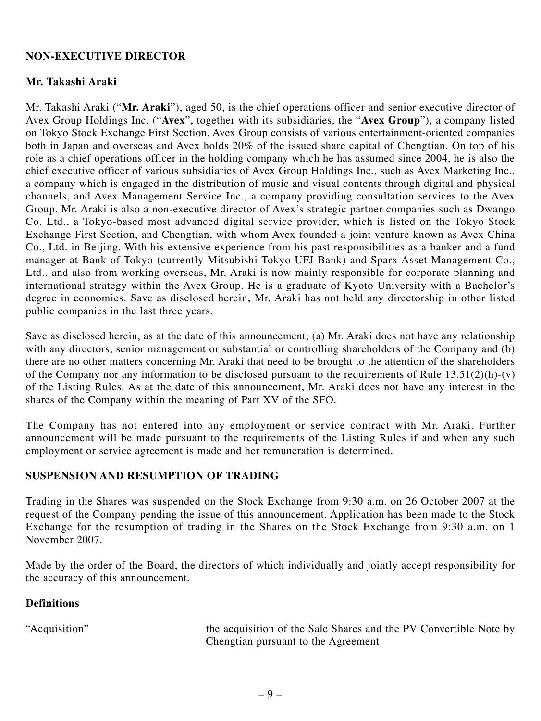#### **NON-EXECUTIVE DIRECTOR**

#### **Mr. Takashi Araki**

Mr. Takashi Araki ("**Mr. Araki**"), aged 50, is the chief operations officer and senior executive director of Avex Group Holdings Inc. ("**Avex**", together with its subsidiaries, the "**Avex Group**"), a company listed on Tokyo Stock Exchange First Section. Avex Group consists of various entertainment-oriented companies both in Japan and overseas and Avex holds 20% of the issued share capital of Chengtian. On top of his role as a chief operations officer in the holding company which he has assumed since 2004, he is also the chief executive officer of various subsidiaries of Avex Group Holdings Inc., such as Avex Marketing Inc., a company which is engaged in the distribution of music and visual contents through digital and physical channels, and Avex Management Service Inc., a company providing consultation services to the Avex Group. Mr. Araki is also a non-executive director of Avex's strategic partner companies such as Dwango Co. Ltd., a Tokyo-based most advanced digital service provider, which is listed on the Tokyo Stock Exchange First Section, and Chengtian, with whom Avex founded a joint venture known as Avex China Co., Ltd. in Beijing. With his extensive experience from his past responsibilities as a banker and a fund manager at Bank of Tokyo (currently Mitsubishi Tokyo UFJ Bank) and Sparx Asset Management Co., Ltd., and also from working overseas, Mr. Araki is now mainly responsible for corporate planning and international strategy within the Avex Group. He is a graduate of Kyoto University with a Bachelor's degree in economics. Save as disclosed herein, Mr. Araki has not held any directorship in other listed public companies in the last three years.

Save as disclosed herein, as at the date of this announcement; (a) Mr. Araki does not have any relationship with any directors, senior management or substantial or controlling shareholders of the Company and (b) there are no other matters concerning Mr. Araki that need to be brought to the attention of the shareholders of the Company nor any information to be disclosed pursuant to the requirements of Rule  $13.51(2)(h)-(v)$ of the Listing Rules. As at the date of this announcement, Mr. Araki does not have any interest in the shares of the Company within the meaning of Part XV of the SFO.

The Company has not entered into any employment or service contract with Mr. Araki. Further announcement will be made pursuant to the requirements of the Listing Rules if and when any such employment or service agreement is made and her remuneration is determined.

#### **SUSPENSION AND RESUMPTION OF TRADING**

Trading in the Shares was suspended on the Stock Exchange from 9:30 a.m. on 26 October 2007 at the request of the Company pending the issue of this announcement. Application has been made to the Stock Exchange for the resumption of trading in the Shares on the Stock Exchange from 9:30 a.m. on 1 November 2007.

Made by the order of the Board, the directors of which individually and jointly accept responsibility for the accuracy of this announcement.

#### **Definitions**

"Acquisition" the acquisition of the Sale Shares and the PV Convertible Note by Chengtian pursuant to the Agreement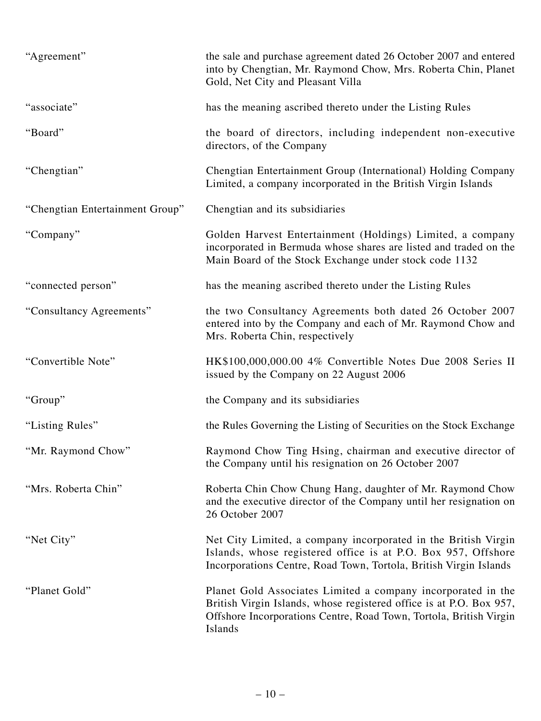| "Agreement"                     | the sale and purchase agreement dated 26 October 2007 and entered<br>into by Chengtian, Mr. Raymond Chow, Mrs. Roberta Chin, Planet<br>Gold, Net City and Pleasant Villa                                             |
|---------------------------------|----------------------------------------------------------------------------------------------------------------------------------------------------------------------------------------------------------------------|
| "associate"                     | has the meaning ascribed thereto under the Listing Rules                                                                                                                                                             |
| "Board"                         | the board of directors, including independent non-executive<br>directors, of the Company                                                                                                                             |
| "Chengtian"                     | Chengtian Entertainment Group (International) Holding Company<br>Limited, a company incorporated in the British Virgin Islands                                                                                       |
| "Chengtian Entertainment Group" | Chengtian and its subsidiaries                                                                                                                                                                                       |
| "Company"                       | Golden Harvest Entertainment (Holdings) Limited, a company<br>incorporated in Bermuda whose shares are listed and traded on the<br>Main Board of the Stock Exchange under stock code 1132                            |
| "connected person"              | has the meaning ascribed thereto under the Listing Rules                                                                                                                                                             |
| "Consultancy Agreements"        | the two Consultancy Agreements both dated 26 October 2007<br>entered into by the Company and each of Mr. Raymond Chow and<br>Mrs. Roberta Chin, respectively                                                         |
| "Convertible Note"              | HK\$100,000,000.00 4% Convertible Notes Due 2008 Series II<br>issued by the Company on 22 August 2006                                                                                                                |
| "Group"                         | the Company and its subsidiaries                                                                                                                                                                                     |
| "Listing Rules"                 | the Rules Governing the Listing of Securities on the Stock Exchange                                                                                                                                                  |
| "Mr. Raymond Chow"              | Raymond Chow Ting Hsing, chairman and executive director of<br>the Company until his resignation on 26 October 2007                                                                                                  |
| "Mrs. Roberta Chin"             | Roberta Chin Chow Chung Hang, daughter of Mr. Raymond Chow<br>and the executive director of the Company until her resignation on<br>26 October 2007                                                                  |
| "Net City"                      | Net City Limited, a company incorporated in the British Virgin<br>Islands, whose registered office is at P.O. Box 957, Offshore<br>Incorporations Centre, Road Town, Tortola, British Virgin Islands                 |
| "Planet Gold"                   | Planet Gold Associates Limited a company incorporated in the<br>British Virgin Islands, whose registered office is at P.O. Box 957,<br>Offshore Incorporations Centre, Road Town, Tortola, British Virgin<br>Islands |